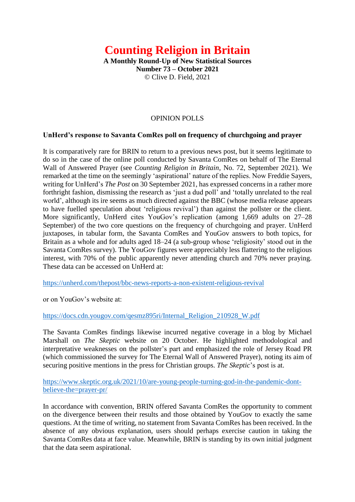# **Counting Religion in Britain**

**A Monthly Round-Up of New Statistical Sources Number 73 – October 2021** © Clive D. Field, 2021

# OPINION POLLS

## **UnHerd's response to Savanta ComRes poll on frequency of churchgoing and prayer**

It is comparatively rare for BRIN to return to a previous news post, but it seems legitimate to do so in the case of the online poll conducted by Savanta ComRes on behalf of The Eternal Wall of Answered Prayer (see *Counting Religion in Britain*, No. 72, September 2021). We remarked at the time on the seemingly 'aspirational' nature of the replies. Now Freddie Sayers, writing for UnHerd's *The Post* on 30 September 2021, has expressed concerns in a rather more forthright fashion, dismissing the research as 'just a dud poll' and 'totally unrelated to the real world', although its ire seems as much directed against the BBC (whose media release appears to have fuelled speculation about 'religious revival') than against the pollster or the client. More significantly, UnHerd cites YouGov's replication (among 1,669 adults on 27–28) September) of the two core questions on the frequency of churchgoing and prayer. UnHerd juxtaposes, in tabular form, the Savanta ComRes and YouGov answers to both topics, for Britain as a whole and for adults aged 18–24 (a sub-group whose 'religiosity' stood out in the Savanta ComRes survey). The YouGov figures were appreciably less flattering to the religious interest, with 70% of the public apparently never attending church and 70% never praying. These data can be accessed on UnHerd at:

<https://unherd.com/thepost/bbc-news-reports-a-non-existent-religious-revival>

or on YouGov's website at:

[https://docs.cdn.yougov.com/qesmz895ri/Internal\\_Religion\\_210928\\_W.pdf](https://docs.cdn.yougov.com/qesmz895ri/Internal_Religion_210928_W.pdf)

The Savanta ComRes findings likewise incurred negative coverage in a blog by Michael Marshall on *The Skeptic* website on 20 October. He highlighted methodological and interpretative weaknesses on the pollster's part and emphasized the role of Jersey Road PR (which commissioned the survey for The Eternal Wall of Answered Prayer), noting its aim of securing positive mentions in the press for Christian groups. *The Skeptic*'s post is at.

[https://www.skeptic.org.uk/2021/10/are-young-people-turning-god-in-the-pandemic-dont](https://www.skeptic.org.uk/2021/10/are-young-people-turning-god-in-the-pandemic-dont-believe-the=prayer-pr/)[believe-the=prayer-pr/](https://www.skeptic.org.uk/2021/10/are-young-people-turning-god-in-the-pandemic-dont-believe-the=prayer-pr/)

In accordance with convention, BRIN offered Savanta ComRes the opportunity to comment on the divergence between their results and those obtained by YouGov to exactly the same questions. At the time of writing, no statement from Savanta ComRes has been received. In the absence of any obvious explanation, users should perhaps exercise caution in taking the Savanta ComRes data at face value. Meanwhile, BRIN is standing by its own initial judgment that the data seem aspirational.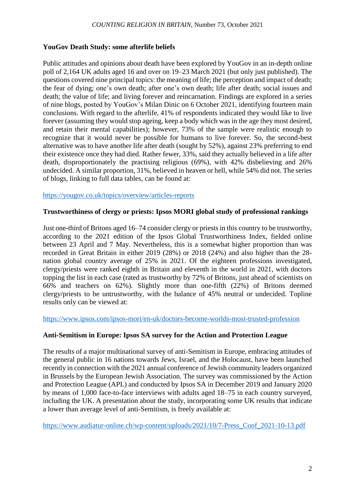# **YouGov Death Study: some afterlife beliefs**

Public attitudes and opinions about death have been explored by YouGov in an in-depth online poll of 2,164 UK adults aged 16 and over on 19–23 March 2021 (but only just published). The questions covered nine principal topics: the meaning of life; the perception and impact of death; the fear of dying; one's own death; after one's own death; life after death; social issues and death; the value of life; and living forever and reincarnation. Findings are explored in a series of nine blogs, posted by YouGov's Milan Dinic on 6 October 2021, identifying fourteen main conclusions. With regard to the afterlife, 41% of respondents indicated they would like to live forever (assuming they would stop ageing, keep a body which was in the age they most desired, and retain their mental capabilities); however, 73% of the sample were realistic enough to recognize that it would never be possible for humans to live forever. So, the second-best alternative was to have another life after death (sought by 52%), against 23% preferring to end their existence once they had died. Rather fewer, 33%, said they actually believed in a life after death, disproportionately the practising religious (69%), with 42% disbelieving and 26% undecided. A similar proportion, 31%, believed in heaven or hell, while 54% did not. The series of blogs, linking to full data tables, can be found at:

## <https://yougov.co.uk/topics/overview/articles-reports>

# **Trustworthiness of clergy or priests: Ipsos MORI global study of professional rankings**

Just one-third of Britons aged 16–74 consider clergy or priests in this country to be trustworthy, according to the 2021 edition of the Ipsos Global Trustworthiness Index, fielded online between 23 April and 7 May. Nevertheless, this is a somewhat higher proportion than was recorded in Great Britain in either 2019 (28%) or 2018 (24%) and also higher than the 28 nation global country average of 25% in 2021. Of the eighteen professions investigated, clergy/priests were ranked eighth in Britain and eleventh in the world in 2021, with doctors topping the list in each case (rated as trustworthy by 72% of Britons, just ahead of scientists on 66% and teachers on 62%). Slightly more than one-fifth (22%) of Britons deemed clergy/priests to be untrustworthy, with the balance of 45% neutral or undecided. Topline results only can be viewed at:

<https://www.ipsos.com/ipsos-mori/en-uk/doctors-become-worlds-most-trusted-profession>

#### **Anti-Semitism in Europe: Ipsos SA survey for the Action and Protection League**

The results of a major multinational survey of anti-Semitism in Europe, embracing attitudes of the general public in 16 nations towards Jews, Israel, and the Holocaust, have been launched recently in connection with the 2021 annual conference of Jewish community leaders organized in Brussels by the European Jewish Association. The survey was commissioned by the Action and Protection League (APL) and conducted by Ipsos SA in December 2019 and January 2020 by means of 1,000 face-to-face interviews with adults aged 18–75 in each country surveyed, including the UK. A presentation about the study, incorporating some UK results that indicate a lower than average level of anti-Semitism, is freely available at:

[https://www.audiatur-online.ch/wp-content/uploads/2021/10/7-Press\\_Conf\\_2021-10-13.pdf](https://www.audiatur-online.ch/wp-content/uploads/2021/10/7-Press_Conf_2021-10-13.pdf)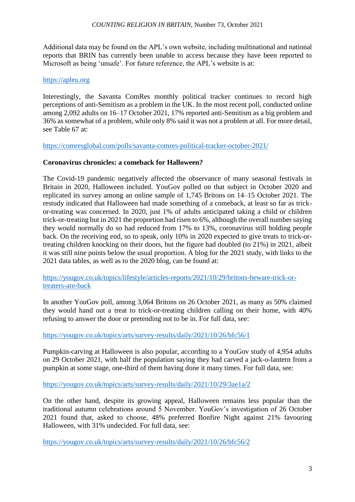Additional data may be found on the APL's own website, including multinational and national reports that BRIN has currently been unable to access because they have been reported to Microsoft as being 'unsafe'. For future reference, the APL's website is at:

## [https://apleu.org](https://apleu.org/)

Interestingly, the Savanta ComRes monthly political tracker continues to record high perceptions of anti-Semitism as a problem in the UK. In the most recent poll, conducted online among 2,092 adults on 16–17 October 2021, 17% reported anti-Semitism as a big problem and 36% as somewhat of a problem, while only 8% said it was not a problem at all. For more detail, see Table 67 at:

<https://comresglobal.com/polls/savanta-comres-political-tracker-october-2021/>

# **Coronavirus chronicles: a comeback for Halloween?**

The Covid-19 pandemic negatively affected the observance of many seasonal festivals in Britain in 2020, Halloween included. YouGov polled on that subject in October 2020 and replicated its survey among an online sample of 1,745 Britons on 14–15 October 2021. The restudy indicated that Halloween had made something of a comeback, at least so far as trickor-treating was concerned. In 2020, just 1% of adults anticipated taking a child or children trick-or-treating but in 2021 the proportion had risen to 6%, although the overall number saying they would normally do so had reduced from 17% to 13%, coronavirus still holding people back. On the receiving end, so to speak, only 10% in 2020 expected to give treats to trick-ortreating children knocking on their doors, but the figure had doubled (to 21%) in 2021, albeit it was still nine points below the usual proportion. A blog for the 2021 study, with links to the 2021 data tables, as well as to the 2020 blog, can be found at:

[https://yougov.co.uk/topics/lifestyle/articles-reports/2021/10/29/britons-beware-trick-or](https://yougov.co.uk/topics/lifestyle/articles-reports/2021/10/29/britons-beware-trick-or-treaters-are-back)[treaters-are-back](https://yougov.co.uk/topics/lifestyle/articles-reports/2021/10/29/britons-beware-trick-or-treaters-are-back)

In another YouGov poll, among 3,064 Britons on 26 October 2021, as many as 50% claimed they would hand out a treat to trick-or-treating children calling on their home, with 40% refusing to answer the door or pretending not to be in. For full data, see:

<https://yougov.co.uk/topics/arts/survey-results/daily/2021/10/26/bfc56/1>

Pumpkin-carving at Halloween is also popular, according to a YouGov study of 4,954 adults on 29 October 2021, with half the population saying they had carved a jack-o-lantern from a pumpkin at some stage, one-third of them having done it many times. For full data, see:

<https://yougov.co.uk/topics/arts/survey-results/daily/2021/10/29/3ae1a/2>

On the other hand, despite its growing appeal, Halloween remains less popular than the traditional autumn celebrations around 5 November. YouGov's investigation of 26 October 2021 found that, asked to choose, 48% preferred Bonfire Night against 21% favouring Halloween, with 31% undecided. For full data, see:

<https://yougov.co.uk/topics/arts/survey-results/daily/2021/10/26/bfc56/2>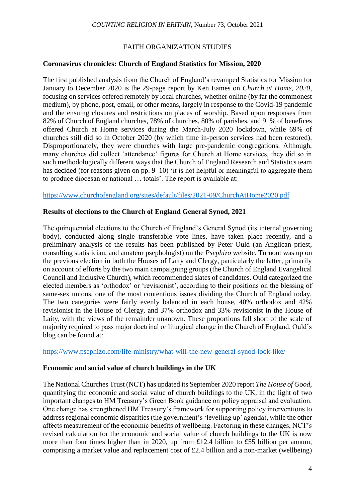## FAITH ORGANIZATION STUDIES

#### **Coronavirus chronicles: Church of England Statistics for Mission, 2020**

The first published analysis from the Church of England's revamped Statistics for Mission for January to December 2020 is the 29-page report by Ken Eames on *Church at Home, 2020*, focusing on services offered remotely by local churches, whether online (by far the commonest medium), by phone, post, email, or other means, largely in response to the Covid-19 pandemic and the ensuing closures and restrictions on places of worship. Based upon responses from 82% of Church of England churches, 78% of churches, 80% of parishes, and 91% of benefices offered Church at Home services during the March-July 2020 lockdown, while 69% of churches still did so in October 2020 (by which time in-person services had been restored). Disproportionately, they were churches with large pre-pandemic congregations. Although, many churches did collect 'attendance' figures for Church at Home services, they did so in such methodologically different ways that the Church of England Research and Statistics team has decided (for reasons given on pp. 9–10) 'it is not helpful or meaningful to aggregate them to produce diocesan or national … totals'. The report is available at:

<https://www.churchofengland.org/sites/default/files/2021-09/ChurchAtHome2020.pdf>

## **Results of elections to the Church of England General Synod, 2021**

The quinquennial elections to the Church of England's General Synod (its internal governing body), conducted along single transferable vote lines, have taken place recently, and a preliminary analysis of the results has been published by Peter Ould (an Anglican priest, consulting statistician, and amateur psephologist) on the *Psephizo* website. Turnout was up on the previous election in both the Houses of Laity and Clergy, particularly the latter, primarily on account of efforts by the two main campaigning groups (the Church of England Evangelical Council and Inclusive Church), which recommended slates of candidates. Ould categorized the elected members as 'orthodox' or 'revisionist', according to their positions on the blessing of same-sex unions, one of the most contentious issues dividing the Church of England today. The two categories were fairly evenly balanced in each house, 40% orthodox and 42% revisionist in the House of Clergy, and 37% orthodox and 33% revisionist in the House of Laity, with the views of the remainder unknown. These proportions fall short of the scale of majority required to pass major doctrinal or liturgical change in the Church of England. Ould's blog can be found at:

<https://www.psephizo.com/life-ministry/what-will-the-new-general-synod-look-like/>

#### **Economic and social value of church buildings in the UK**

The National Churches Trust (NCT) has updated its September 2020 report *The House of Good*, quantifying the economic and social value of church buildings to the UK, in the light of two important changes to HM Treasury's Green Book guidance on policy appraisal and evaluation. One change has strengthened HM Treasury's framework for supporting policy interventions to address regional economic disparities (the government's 'levelling up' agenda), while the other affects measurement of the economic benefits of wellbeing. Factoring in these changes, NCT's revised calculation for the economic and social value of church buildings to the UK is now more than four times higher than in 2020, up from £12.4 billion to £55 billion per annum, comprising a market value and replacement cost of £2.4 billion and a non-market (wellbeing)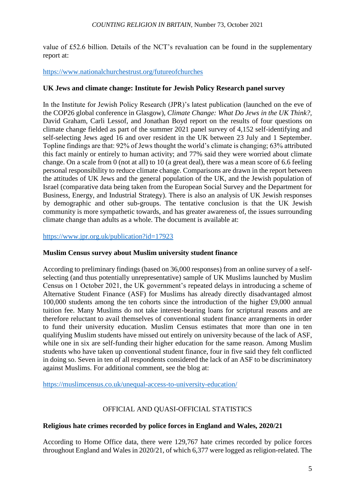value of £52.6 billion. Details of the NCT's revaluation can be found in the supplementary report at:

## <https://www.nationalchurchestrust.org/futureofchurches>

## **UK Jews and climate change: Institute for Jewish Policy Research panel survey**

In the Institute for Jewish Policy Research (JPR)'s latest publication (launched on the eve of the COP26 global conference in Glasgow), *Climate Change: What Do Jews in the UK Think?,*  David Graham, Carli Lessof, and Jonathan Boyd report on the results of four questions on climate change fielded as part of the summer 2021 panel survey of 4,152 self-identifying and self-selecting Jews aged 16 and over resident in the UK between 23 July and 1 September. Topline findings are that: 92% of Jews thought the world's climate is changing; 63% attributed this fact mainly or entirely to human activity; and 77% said they were worried about climate change. On a scale from 0 (not at all) to 10 (a great deal), there was a mean score of 6.6 feeling personal responsibility to reduce climate change. Comparisons are drawn in the report between the attitudes of UK Jews and the general population of the UK, and the Jewish population of Israel (comparative data being taken from the European Social Survey and the Department for Business, Energy, and Industrial Strategy). There is also an analysis of UK Jewish responses by demographic and other sub-groups. The tentative conclusion is that the UK Jewish community is more sympathetic towards, and has greater awareness of, the issues surrounding climate change than adults as a whole. The document is available at:

<https://www.jpr.org.uk/publication?id=17923>

## **Muslim Census survey about Muslim university student finance**

According to preliminary findings (based on 36,000 responses) from an online survey of a selfselecting (and thus potentially unrepresentative) sample of UK Muslims launched by Muslim Census on 1 October 2021, the UK government's repeated delays in introducing a scheme of Alternative Student Finance (ASF) for Muslims has already directly disadvantaged almost 100,000 students among the ten cohorts since the introduction of the higher £9,000 annual tuition fee. Many Muslims do not take interest-bearing loans for scriptural reasons and are therefore reluctant to avail themselves of conventional student finance arrangements in order to fund their university education. Muslim Census estimates that more than one in ten qualifying Muslim students have missed out entirely on university because of the lack of ASF, while one in six are self-funding their higher education for the same reason. Among Muslim students who have taken up conventional student finance, four in five said they felt conflicted in doing so. Seven in ten of all respondents considered the lack of an ASF to be discriminatory against Muslims. For additional comment, see the blog at:

<https://muslimcensus.co.uk/unequal-access-to-university-education/>

# OFFICIAL AND QUASI-OFFICIAL STATISTICS

# **Religious hate crimes recorded by police forces in England and Wales, 2020/21**

According to Home Office data, there were 129,767 hate crimes recorded by police forces throughout England and Wales in 2020/21, of which 6,377 were logged as religion-related. The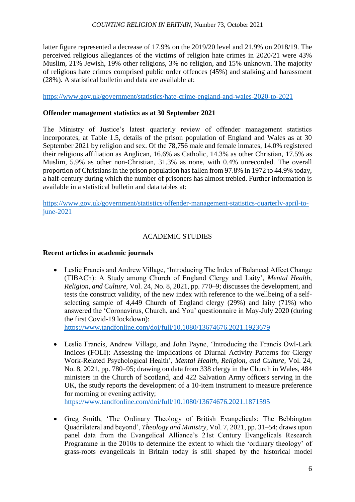latter figure represented a decrease of 17.9% on the 2019/20 level and 21.9% on 2018/19. The perceived religious allegiances of the victims of religion hate crimes in 2020/21 were 43% Muslim, 21% Jewish, 19% other religions, 3% no religion, and 15% unknown. The majority of religious hate crimes comprised public order offences (45%) and stalking and harassment (28%). A statistical bulletin and data are available at:

<https://www.gov.uk/government/statistics/hate-crime-england-and-wales-2020-to-2021>

## **Offender management statistics as at 30 September 2021**

The Ministry of Justice's latest quarterly review of offender management statistics incorporates, at Table 1.5, details of the prison population of England and Wales as at 30 September 2021 by religion and sex. Of the 78,756 male and female inmates, 14.0% registered their religious affiliation as Anglican, 16.6% as Catholic, 14.3% as other Christian, 17.5% as Muslim, 5.9% as other non-Christian, 31.3% as none, with 0.4% unrecorded. The overall proportion of Christians in the prison population has fallen from 97.8% in 1972 to 44.9% today, a half-century during which the number of prisoners has almost trebled. Further information is available in a statistical bulletin and data tables at:

[https://www.gov.uk/government/statistics/offender-management-statistics-quarterly-april-to](https://www.gov.uk/government/statistics/offender-management-statistics-quarterly-april-to-june-2021)[june-2021](https://www.gov.uk/government/statistics/offender-management-statistics-quarterly-april-to-june-2021)

# ACADEMIC STUDIES

# **Recent articles in academic journals**

 Leslie Francis and Andrew Village, 'Introducing The Index of Balanced Affect Change (TIBACh): A Study among Church of England Clergy and Laity', *Mental Health, Religion, and Culture*, Vol. 24, No. 8, 2021, pp. 770–9; discusses the development, and tests the construct validity, of the new index with reference to the wellbeing of a selfselecting sample of 4,449 Church of England clergy (29%) and laity (71%) who answered the 'Coronavirus, Church, and You' questionnaire in May-July 2020 (during the first Covid-19 lockdown):

<https://www.tandfonline.com/doi/full/10.1080/13674676.2021.1923679>

 Leslie Francis, Andrew Village, and John Payne, 'Introducing the Francis Owl-Lark Indices (FOLI): Assessing the Implications of Diurnal Activity Patterns for Clergy Work-Related Psychological Health', *Mental Health, Religion, and Culture*, Vol. 24, No. 8, 2021, pp. 780–95; drawing on data from 338 clergy in the Church in Wales, 484 ministers in the Church of Scotland, and 422 Salvation Army officers serving in the UK, the study reports the development of a 10-item instrument to measure preference for morning or evening activity;

<https://www.tandfonline.com/doi/full/10.1080/13674676.2021.1871595>

 Greg Smith, 'The Ordinary Theology of British Evangelicals: The Bebbington Quadrilateral and beyond', *Theology and Ministry*, Vol. 7, 2021, pp. 31–54; draws upon panel data from the Evangelical Alliance's 21st Century Evangelicals Research Programme in the 2010s to determine the extent to which the 'ordinary theology' of grass-roots evangelicals in Britain today is still shaped by the historical model